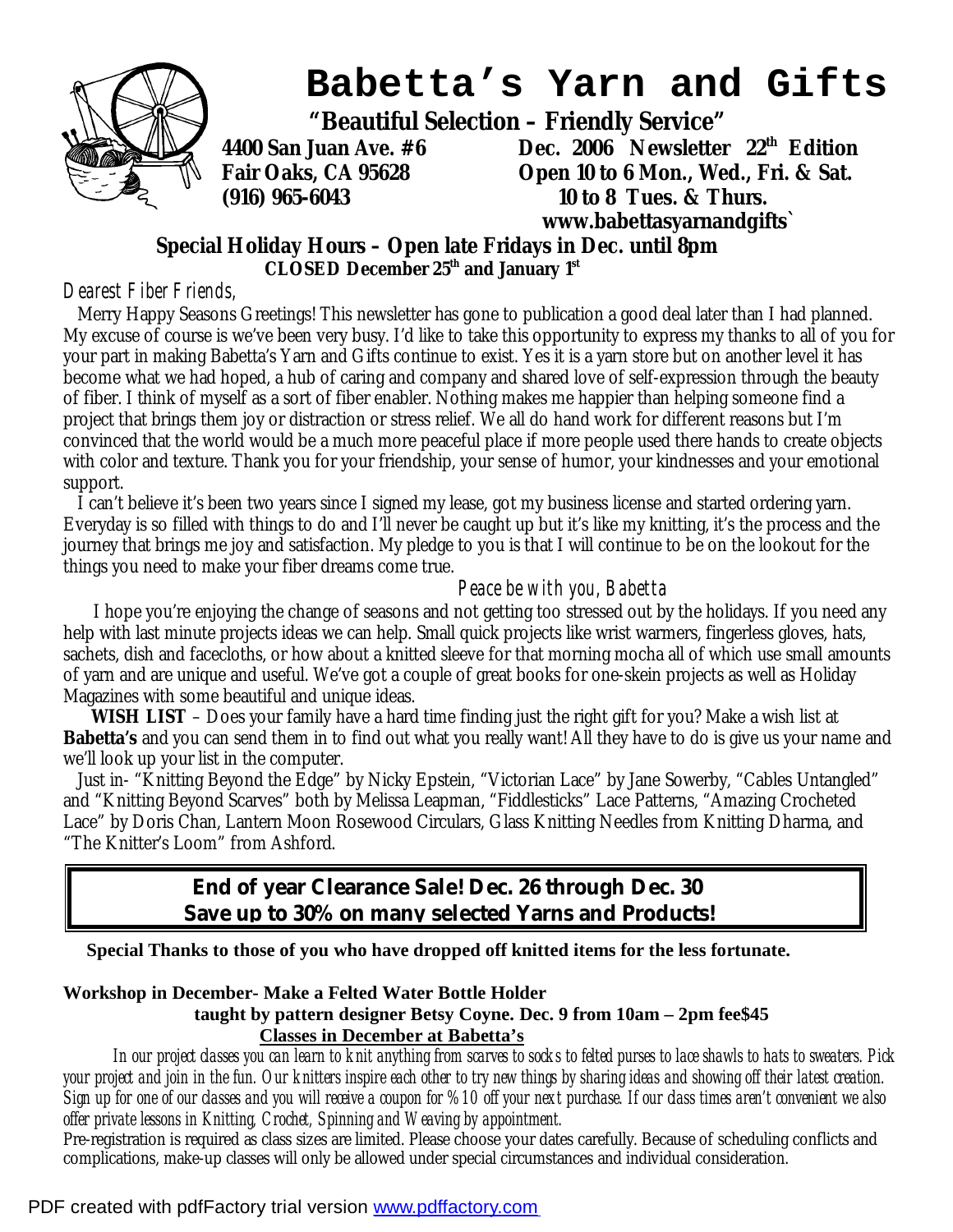

# **Babetta's Yarn and Gifts**

 **"Beautiful Selection – Friendly Service"** 

**4400 San Juan Ave. #6 Dec. 2006 Newsletter 22th Edition Fair Oaks, CA 95628 Open 10 to 6 Mon., Wed., Fri. & Sat. (916) 965-6043 10 to 8 Tues. & Thurs. www.babettasyarnandgifts`** 

#### **Special Holiday Hours – Open late Fridays in Dec. until 8pm CLOSED December 25th and January 1st**

#### *Dearest Fiber Friends,*

Merry Happy Seasons Greetings! This newsletter has gone to publication a good deal later than I had planned. My excuse of course is we've been very busy. I'd like to take this opportunity to express my thanks to all of you for your part in making Babetta's Yarn and Gifts continue to exist. Yes it is a yarn store but on another level it has become what we had hoped, a hub of caring and company and shared love of self-expression through the beauty of fiber. I think of myself as a sort of fiber enabler. Nothing makes me happier than helping someone find a project that brings them joy or distraction or stress relief. We all do hand work for different reasons but I'm convinced that the world would be a much more peaceful place if more people used there hands to create objects with color and texture. Thank you for your friendship, your sense of humor, your kindnesses and your emotional support.

I can't believe it's been two years since I signed my lease, got my business license and started ordering yarn. Everyday is so filled with things to do and I'll never be caught up but it's like my knitting, it's the process and the journey that brings me joy and satisfaction. My pledge to you is that I will continue to be on the lookout for the things you need to make your fiber dreams come true.

#### *Peace be with you, Babetta*

 I hope you're enjoying the change of seasons and not getting too stressed out by the holidays. If you need any help with last minute projects ideas we can help. Small quick projects like wrist warmers, fingerless gloves, hats, sachets, dish and facecloths, or how about a knitted sleeve for that morning mocha all of which use small amounts of yarn and are unique and useful. We've got a couple of great books for one-skein projects as well as Holiday Magazines with some beautiful and unique ideas.

 **WISH LIST** – Does your family have a hard time finding just the right gift for you? Make a wish list at *Babetta's* and you can send them in to find out what you really want! All they have to do is give us your name and we'll look up your list in the computer.

Just in- "Knitting Beyond the Edge" by Nicky Epstein, "Victorian Lace" by Jane Sowerby, "Cables Untangled" and "Knitting Beyond Scarves" both by Melissa Leapman, "Fiddlesticks" Lace Patterns, "Amazing Crocheted Lace" by Doris Chan, Lantern Moon Rosewood Circulars, Glass Knitting Needles from Knitting Dharma, and "The Knitter's Loom" from Ashford.

### **End of year Clearance Sale! Dec. 26 through Dec. 30 Save up to 30% on many selected Yarns and Products!**

**Special Thanks to those of you who have dropped off knitted items for the less fortunate.** 

**Workshop in December- Make a Felted Water Bottle Holder** 

 **taught by pattern designer Betsy Coyne. Dec. 9 from 10am – 2pm fee\$45 Classes in December at Babetta's**

In our project classes you can learn to knit anything from scarves to socks to felted purses to lace shawls to hats to sweaters. Pick your project and join in the fun. Our knitters inspire each other to try new things by sharing ideas and showing off their latest creation. Sign up for one of our classes and you will receive a coupon for %10 off your next purchase. If our class times aren't convenient we also *offer private lessons in Knitting, Crochet, Spinning and Weaving by appointment.* 

Pre-registration is required as class sizes are limited. Please choose your dates carefully. Because of scheduling conflicts and complications, make-up classes will only be allowed under special circumstances and individual consideration.